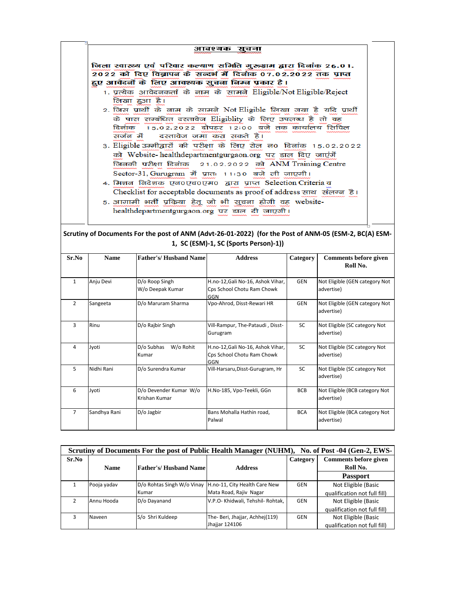| जिला स्वास्थ्य एवं परिवार कल्याण समिति गुरूग्राम द्वारा दिनांक 26.01.<br>2022 को दिए विज्ञापन के सन्दर्भ में दिनांक 07.02.2022 तक प्राप्त |
|-------------------------------------------------------------------------------------------------------------------------------------------|
| हुए आवेदनों के लिए आवश्यक सुचना निम्न प्रकार है।                                                                                          |
| 1. प्रत्येक आवेदनकर्ता के नाम के सामने Eligible/Not Eligible/Reject<br>लिखा हुआ है।                                                       |
| 2. जिस प्रार्थी के नाम के सामने Not Eligible लिखा गया है यदि प्रार्थी                                                                     |
| के पास सम्बंधित दस्तावेज Eligiblity के लिए उपलब्ध है तो वह                                                                                |
| दिनांक 15.02.2022 दोपहर 12:00 बजे तक कार्यालय सिं                                                                                         |
| सर्जन में वस्तावेज जमा करा सकते है।                                                                                                       |
| 3. Eligible उम्मीद्वारों की परीक्षा के लिए रोल न0 दिलांक 15.02.2022                                                                       |
| को Website-healthdepartmentgurgaon.org पर डाल दिए जाएंगें                                                                                 |
| जिनकी परीक्षा दिनांक 21.02.2022 को ANM Training Centre                                                                                    |
| Sector-31, Gurugram में प्रातः 11:30 बजे ली जाएगी।                                                                                        |
| 4. मिशन  निदेशक एन०एच०एम०  द्वारा प्राप्त  Selection Criteria व                                                                           |
| Checklist for acceptable documents as proof of address साथ संलग्न है।                                                                     |
| 5. आगामी भर्ती प्रकिया हेतू जो भी सुचना होगी वह website-                                                                                  |
| healthdepartmentgurgaon.org पर डाल दी जाएगी।                                                                                              |

## **Scrutiny of Documents For the post of ANM (Advt-26-01-2022) (for the Post of ANM-05 (ESM-2, BC(A) ESM-1, SC (ESM)-1, SC (Sports Person)-1))**

| Sr.No          | <b>Name</b>  | <b>Father's/Husband Name</b>            | <b>Address</b>                                                         | Category   | Comments before given<br>Roll No.            |
|----------------|--------------|-----------------------------------------|------------------------------------------------------------------------|------------|----------------------------------------------|
| $\mathbf{1}$   | Anju Devi    | D/o Roop Singh<br>W/o Deepak Kumar      | H.no-12, Gali No-16, Ashok Vihar,<br>Cps School Chotu Ram Chowk<br>GGN | <b>GEN</b> | Not Eligible (GEN category Not<br>advertise) |
| $\mathcal{P}$  | Sangeeta     | D/o Maruram Sharma                      | Vpo-Ahrod, Disst-Rewari HR                                             | GEN        | Not Eligible (GEN category Not<br>advertise) |
| 3              | Rinu         | D/o Rajbir Singh                        | Vill-Rampur, The-Pataudi, Disst-<br>Gurugram                           | SC         | Not Eligible (SC category Not<br>advertise)  |
| 4              | Jyoti        | D/o Subhas<br>W/o Rohit<br>Kumar        | H.no-12, Gali No-16, Ashok Vihar,<br>Cps School Chotu Ram Chowk<br>GGN | <b>SC</b>  | Not Eligible (SC category Not<br>advertise)  |
| 5              | Nidhi Rani   | D/o Surendra Kumar                      | Vill-Harsaru, Disst-Gurugram, Hr                                       | SC         | Not Eligible (SC category Not<br>advertise)  |
| 6              | Jyoti        | D/o Devender Kumar W/o<br>Krishan Kumar | H.No-185, Vpo-Teekli, GGn                                              | <b>BCB</b> | Not Eligible (BCB category Not<br>advertise) |
| $\overline{7}$ | Sandhya Rani | D/o Jagbir                              | Bans Mohalla Hathin road,<br>Palwal                                    | <b>BCA</b> | Not Eligible (BCA category Not<br>advertise) |

| Scrutiny of Documents For the post of Public Health Manager (NUHM), No. of Post -04 (Gen-2, EWS- |             |                              |                                                          |          |                              |
|--------------------------------------------------------------------------------------------------|-------------|------------------------------|----------------------------------------------------------|----------|------------------------------|
| Sr.No                                                                                            |             |                              |                                                          | Category | <b>Comments before given</b> |
|                                                                                                  | <b>Name</b> | <b>Father's/Husband Name</b> | <b>Address</b>                                           |          | Roll No.                     |
|                                                                                                  |             |                              |                                                          |          | <b>Passport</b>              |
|                                                                                                  | Pooja yadav |                              | D/o Rohtas Singh W/o Vinay H.no-11, City Health Care New | GEN      | Not Eligible (Basic          |
|                                                                                                  |             | Kumar                        | Mata Road, Rajiv Nagar                                   |          | qualification not full fill) |
| ͻ                                                                                                | Annu Hooda  | D/o Dayanand                 | V.P.O- Khidwali, Tehshil- Rohtak,                        | GEN      | Not Eligible (Basic          |
|                                                                                                  |             |                              |                                                          |          | qualification not full fill) |
|                                                                                                  | Naveen      | S/o Shri Kuldeep             | The-Beri, Jhajjar, Achhej(119)                           | GEN      | Not Eligible (Basic          |
|                                                                                                  |             |                              | Jhajjar 124106                                           |          | qualification not full fill) |